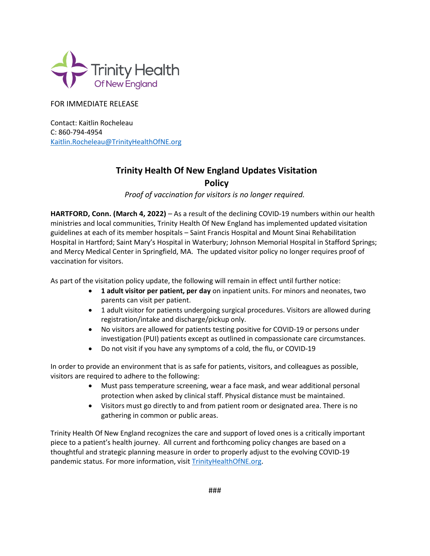

## FOR IMMEDIATE RELEASE

Contact: Kaitlin Rocheleau C: 860-794-4954 [Kaitlin.Rocheleau@TrinityHealthO](mailto:Kaitlin.Rocheleau@TrinityHealth)fNE.org

## **Trinity Health Of New England Updates Visitation**

**Policy** 

*Proof of vaccination for visitors is no longer required.*

**HARTFORD, Conn. (March 4, 2022)** – As a result of the declining COVID-19 numbers within our health ministries and local communities, Trinity Health Of New England has implemented updated visitation guidelines at each of its member hospitals – Saint Francis Hospital and Mount Sinai Rehabilitation Hospital in Hartford; Saint Mary's Hospital in Waterbury; Johnson Memorial Hospital in Stafford Springs; and Mercy Medical Center in Springfield, MA. The updated visitor policy no longer requires proof of vaccination for visitors.

As part of the visitation policy update, the following will remain in effect until further notice:

- **1 adult visitor per patient, per day** on inpatient units. For minors and neonates, two parents can visit per patient.
- 1 adult visitor for patients undergoing surgical procedures. Visitors are allowed during registration/intake and discharge/pickup only.
- No visitors are allowed for patients testing positive for COVID-19 or persons under investigation (PUI) patients except as outlined in compassionate care circumstances.
- Do not visit if you have any symptoms of a cold, the flu, or COVID-19

In order to provide an environment that is as safe for patients, visitors, and colleagues as possible, visitors are required to adhere to the following:

- Must pass temperature screening, wear a face mask, and wear additional personal protection when asked by clinical staff. Physical distance must be maintained.
- Visitors must go directly to and from patient room or designated area. There is no gathering in common or public areas.

Trinity Health Of New England recognizes the care and support of loved ones is a critically important piece to a patient's health journey. All current and forthcoming policy changes are based on a thoughtful and strategic planning measure in order to properly adjust to the evolving COVID-19 pandemic status. For more information, visit [TrinityHealthOfNE.org.](https://www.trinityhealthofne.org/)